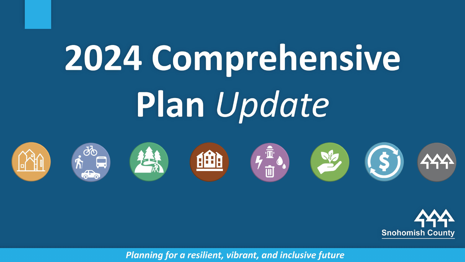















**Planning for a resilient, vibrant, and inclusive future**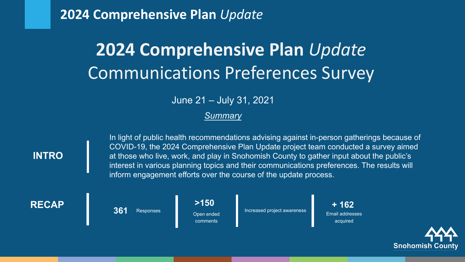### **2024 Comprehensive Plan** *Update* Communications Preferences Survey

June 21 – July 31, 2021

#### *Summary*



In light of public health recommendations advising against in-person gatherings because of COVID-19, the 2024 Comprehensive Plan Update project team conducted a survey aimed at those who live, work, and play in Snohomish County to gather input about the public's interest in various planning topics and their communications preferences. The results will inform engagement efforts over the course of the update process.



**361** Responses

Open ended comments

Increased project awareness

**+ 162** Email addresses acquired

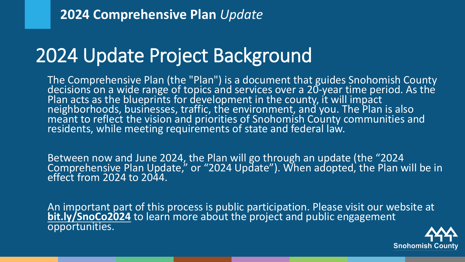### 2024 Update Project Background

The Comprehensive Plan (the "Plan") is a document that guides Snohomish County decisions on a wide range of topics and services over a 20-year time period. As the<br>Plan acts as the blueprints for development in the county, it will impact neighborhoods, businesses, traffic, the environment, and you. The Plan is also meant to reflect the vision and priorities of Snohomish County communities and residents, while meeting requirements of state and federal law.

Between now and June 2024, the Plan will go through an update (the "2024 Comprehensive Plan Update," or "2024 Update"). When adopted, the Plan will be in effect from 2024 to 2044.

An important part of this process is public participation. Please visit our website at **[bit.ly/SnoCo2024](https://bit.ly/SnoCo2024)** to learn more about the project and public engagement opportunities.

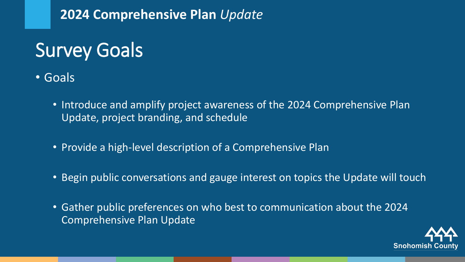# Survey Goals

- Goals
	- Introduce and amplify project awareness of the 2024 Comprehensive Plan Update, project branding, and schedule
	- Provide a high-level description of a Comprehensive Plan
	- Begin public conversations and gauge interest on topics the Update will touch
	- Gather public preferences on who best to communication about the 2024 Comprehensive Plan Update

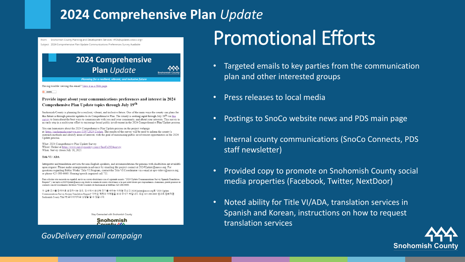From: Snohomish County Planning and Development Services <PDS@updates.snoco.org> Subject: 2024 Comprehensive Plan Update Communications Preferences Survey Available

#### **2024 Comprehensive Plan** Update Planning for a resilient, vibrant, and inclusive future

Having trouble viewing this email? View it as a Web page.

**D** SHARE

#### Provide input about your communications preferences and interest in 2024 Comprehensive Plan Update topics through July 19th

Snohomish County is planning for a resilient, vibrant, and inclusive future. One of the main ways the county can plans for this future is through periodic updates to its Comprehensive Plan. The county is seeking input through July 19<sup>th</sup> via this survey to learn about the best ways to communicate with you and your community, and about your interests. This survey is an early step in a multi-year effort to encourage broad public involvement in the 2024 Comprehensive Plan Update process.

You can learn more about the 2024 Comprehensive Plan Update process on the project webpage at: https://snohomishcountywa.gov/5597/2024-Update. The results of the survey will be used to inform the county's outreach methods and identify areas of interest, with the goal of maximizing public involvement opportunities in the 2024 Update process

What: 2024 Comprehensive Plan Update Survey Where: Online at https://www.surveymonkey.com/r/SnoCo2024survey When: Survey closes July 19, 2021

Title VI / ADA

Interpreter and translation services for non-English speakers, and accommodations for persons with disabilities are available upon request. Please make arrangements in advance by emailing the project contact at 2024Update@snoco.org. For questions regarding Public Works' Title VI Program, contact the Title VI Coordinator via e-mail at spw-titlevi@snoco.org, or phone 425-388-6660. Hearing/speech impaired call 711.

Para solicitar esta encuesta en español, envíe un correo electrónico con el siguiente asunto: "2024 Update Communications Survey Spanish Translation Request" y enviarlo a 2024 Update@snoco.org desde la cuenta de correo electrónico a la que usted desee que respondamos. Asimismo, puede ponerse en contacto con el Coordinador del título VI del Condado de Snohomish al teléfono 425-388-6660.

이 설문 조사를 한국어로 요청하시는 경우, 당사에서 회신해 주기를 바라는 이메일 주소인 2024Update@snoco.org로 "2024 Update Communications Survey Korean Translation Request" 이라는 제목의 이메일을 보내 주시기 바랍니다. 또는 425-388-6660 번으로 전화하면 Snohomish County Title VI 코디네이터와 상담을 할 수 있습니다.

Stay Connected with Snohomish County

**Snohomish COLUMBY AAA** 

#### *GovDelivery email campaign*

## Promotional Efforts

- Targeted emails to key parties from the communication plan and other interested groups
- Press releases to local media
- Postings to SnoCo website news and PDS main page
- Internal county communications (SnoCo Connects, PDS staff newsletter)
- Provided copy to promote on Snohomish County social media properties (Facebook, Twitter, NextDoor)
- Noted ability for Title VI/ADA, translation services in Spanish and Korean, instructions on how to request translation services

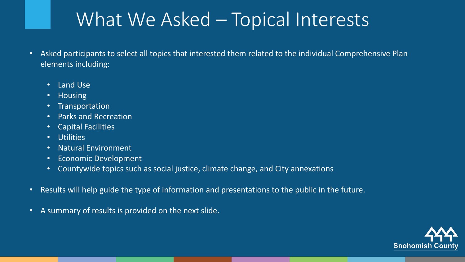### What We Asked – Topical Interests

- Asked participants to select all topics that interested them related to the individual Comprehensive Plan elements including:
	- Land Use
	- Housing
	- Transportation
	- Parks and Recreation
	- Capital Facilities
	- Utilities
	- Natural Environment
	- Economic Development
	- Countywide topics such as social justice, climate change, and City annexations
- Results will help guide the type of information and presentations to the public in the future.
- A summary of results is provided on the next slide.

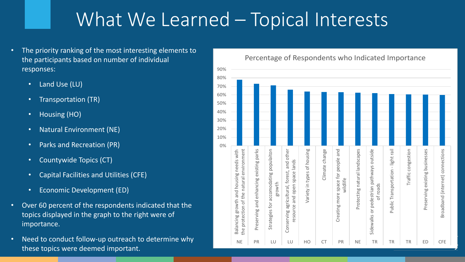## What We Learned – Topical Interests

- The priority ranking of the most interesting elements to the participants based on number of individual responses:
	- Land Use (LU)
	- Transportation (TR)
	- Housing (HO)
	- Natural Environment (NE)
	- Parks and Recreation (PR)
	- Countywide Topics (CT)
	- Capital Facilities and Utilities (CFE)
	- Economic Development (ED)
- Over 60 percent of the respondents indicated that the topics displayed in the graph to the right were of importance.
- Need to conduct follow-up outreach to determine why these topics were deemed important.

#### Percentage of Respondents who Indicated Importance

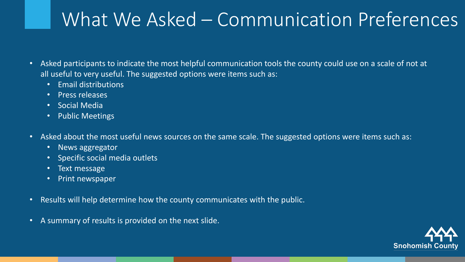### What We Asked – Communication Preferences

- Asked participants to indicate the most helpful communication tools the county could use on a scale of not at all useful to very useful. The suggested options were items such as:
	- Email distributions
	- Press releases
	- Social Media
	- Public Meetings
- Asked about the most useful news sources on the same scale. The suggested options were items such as:
	- News aggregator
	- Specific social media outlets
	- Text message
	- Print newspaper
- Results will help determine how the county communicates with the public.
- A summary of results is provided on the next slide.

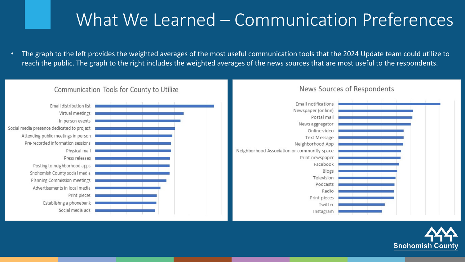#### What We Learned – Communication Preferences

• The graph to the left provides the weighted averages of the most useful communication tools that the 2024 Update team could utilize to reach the public. The graph to the right includes the weighted averages of the news sources that are most useful to the respondents.



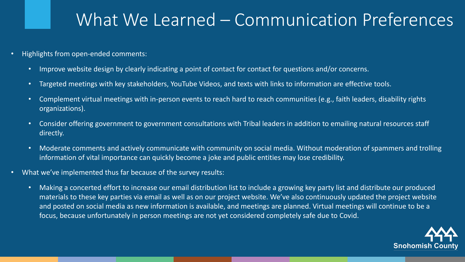#### What We Learned – Communication Preferences

- Highlights from open-ended comments:
	- Improve website design by clearly indicating a point of contact for contact for questions and/or concerns.
	- Targeted meetings with key stakeholders, YouTube Videos, and texts with links to information are effective tools.
	- Complement virtual meetings with in-person events to reach hard to reach communities (e.g., faith leaders, disability rights organizations).
	- Consider offering government to government consultations with Tribal leaders in addition to emailing natural resources staff directly.
	- Moderate comments and actively communicate with community on social media. Without moderation of spammers and trolling information of vital importance can quickly become a joke and public entities may lose credibility.
- What we've implemented thus far because of the survey results:
	- Making a concerted effort to increase our email distribution list to include a growing key party list and distribute our produced materials to these key parties via email as well as on our project website. We've also continuously updated the project website and posted on social media as new information is available, and meetings are planned. Virtual meetings will continue to be a focus, because unfortunately in person meetings are not yet considered completely safe due to Covid.

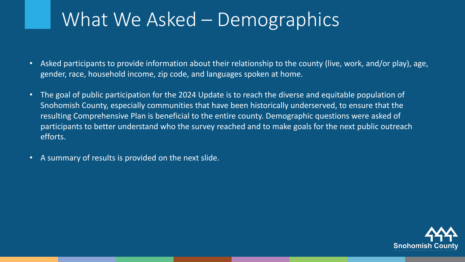### What We Asked – Demographics

- Asked participants to provide information about their relationship to the county (live, work, and/or play), age, gender, race, household income, zip code, and languages spoken at home.
- The goal of public participation for the 2024 Update is to reach the diverse and equitable population of Snohomish County, especially communities that have been historically underserved, to ensure that the resulting Comprehensive Plan is beneficial to the entire county. Demographic questions were asked of participants to better understand who the survey reached and to make goals for the next public outreach efforts.
- A summary of results is provided on the next slide.

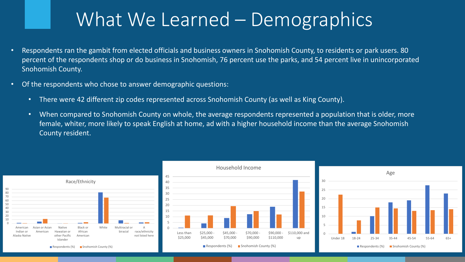### What We Learned – Demographics

- Respondents ran the gambit from elected officials and business owners in Snohomish County, to residents or park users. 80 percent of the respondents shop or do business in Snohomish, 76 percent use the parks, and 54 percent live in unincorporated Snohomish County.
- Of the respondents who chose to answer demographic questions:
	- There were 42 different zip codes represented across Snohomish County (as well as King County).
	- When compared to Snohomish County on whole, the average respondents represented a population that is older, more female, whiter, more likely to speak English at home, ad with a higher household income than the average Snohomish County resident.